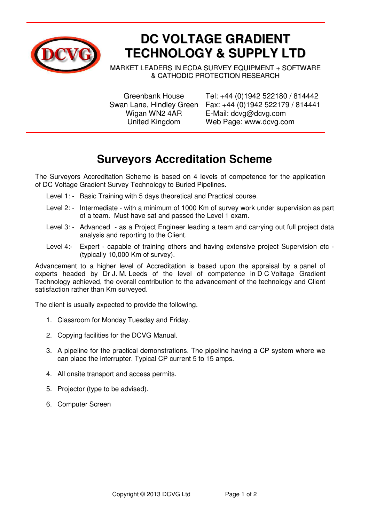

## **DC VOLTAGE GRADIENT TECHNOLOGY & SUPPLY LTD**

MARKET LEADERS IN ECDA SURVEY EQUIPMENT + SOFTWARE & CATHODIC PROTECTION RESEARCH

 Greenbank House Tel: +44 (0)1942 522180 / 814442 Swan Lane, Hindley Green Fax: +44 (0)1942 522179 / 814441 Wigan WN2 4AR E-Mail: dcvg@dcvg.com United Kingdom Web Page: www.dcvg.com

## **Surveyors Accreditation Scheme**

The Surveyors Accreditation Scheme is based on 4 levels of competence for the application of DC Voltage Gradient Survey Technology to Buried Pipelines.

- Level 1: Basic Training with 5 days theoretical and Practical course.
- Level 2: Intermediate with a minimum of 1000 Km of survey work under supervision as part of a team. Must have sat and passed the Level 1 exam.
- Level 3: Advanced as a Project Engineer leading a team and carrying out full project data analysis and reporting to the Client.
- Level 4:- Expert capable of training others and having extensive project Supervision etc (typically 10,000 Km of survey).

Advancement to a higher level of Accreditation is based upon the appraisal by a panel of experts headed by Dr J. M. Leeds of the level of competence in D C Voltage Gradient Technology achieved, the overall contribution to the advancement of the technology and Client satisfaction rather than Km surveyed.

The client is usually expected to provide the following.

- 1. Classroom for Monday Tuesday and Friday.
- 2. Copying facilities for the DCVG Manual.
- 3. A pipeline for the practical demonstrations. The pipeline having a CP system where we can place the interrupter. Typical CP current 5 to 15 amps.
- 4. All onsite transport and access permits.
- 5. Projector (type to be advised).
- 6. Computer Screen